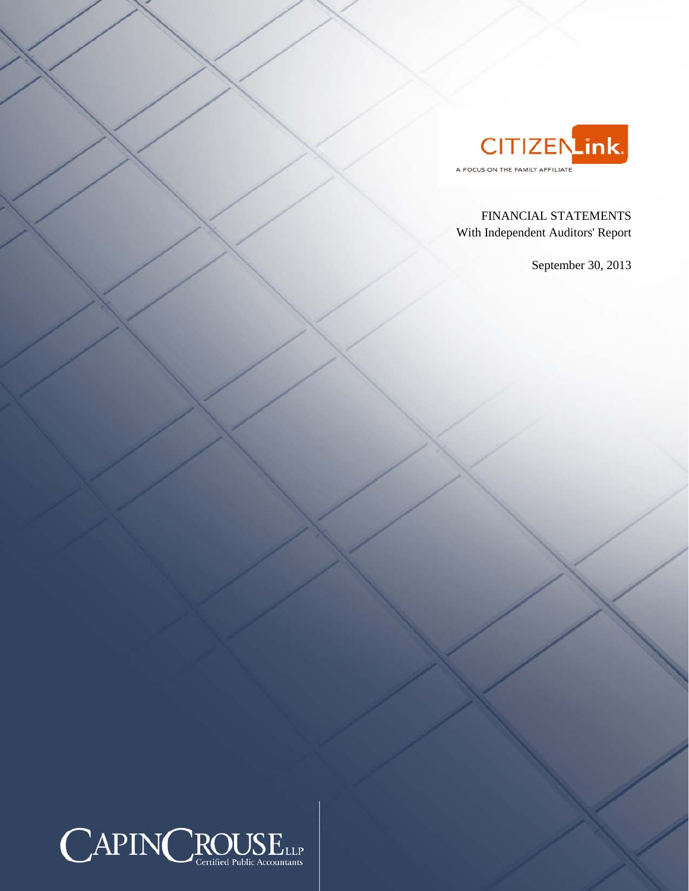

FINANCIAL STATEMENTS With Independent Auditors' Report

September 30, 2013

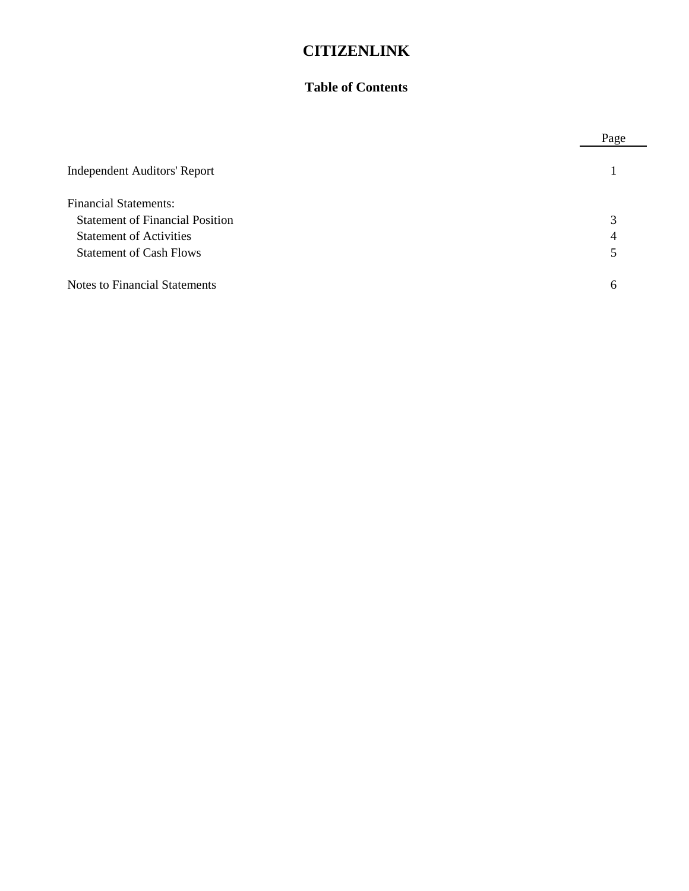## **Table of Contents**

|                                        | Page |
|----------------------------------------|------|
| <b>Independent Auditors' Report</b>    |      |
| <b>Financial Statements:</b>           |      |
| <b>Statement of Financial Position</b> | 3    |
| <b>Statement of Activities</b>         | 4    |
| <b>Statement of Cash Flows</b>         | 5    |
| <b>Notes to Financial Statements</b>   | 6    |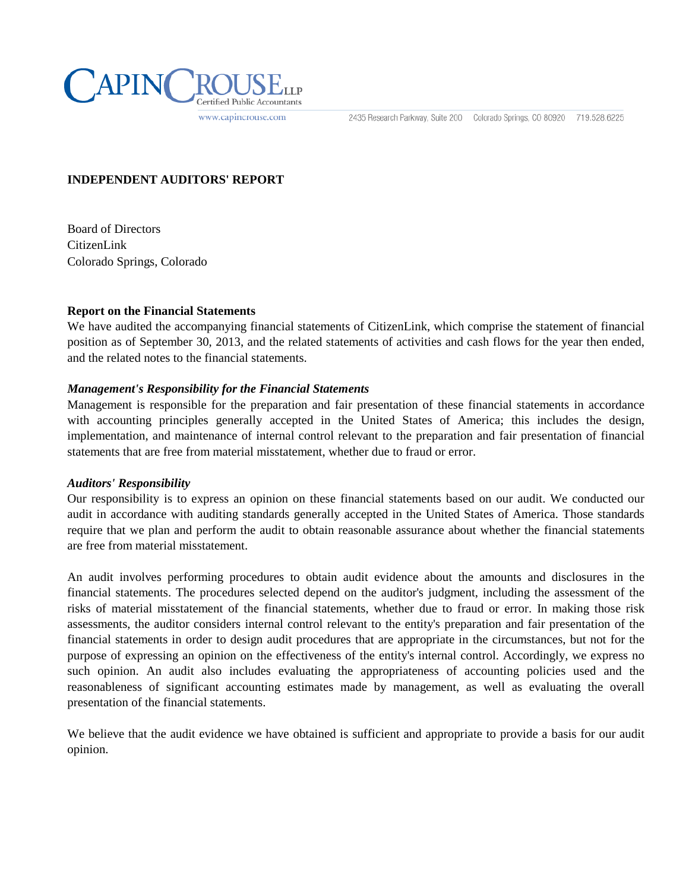

www.capincrouse.com

#### **INDEPENDENT AUDITORS' REPORT**

Board of Directors CitizenLink Colorado Springs, Colorado

#### **Report on the Financial Statements**

We have audited the accompanying financial statements of CitizenLink, which comprise the statement of financial position as of September 30, 2013, and the related statements of activities and cash flows for the year then ended, and the related notes to the financial statements.

#### *Management's Responsibility for the Financial Statements*

Management is responsible for the preparation and fair presentation of these financial statements in accordance with accounting principles generally accepted in the United States of America; this includes the design, implementation, and maintenance of internal control relevant to the preparation and fair presentation of financial statements that are free from material misstatement, whether due to fraud or error.

#### *Auditors' Responsibility*

Our responsibility is to express an opinion on these financial statements based on our audit. We conducted our audit in accordance with auditing standards generally accepted in the United States of America. Those standards require that we plan and perform the audit to obtain reasonable assurance about whether the financial statements are free from material misstatement.

An audit involves performing procedures to obtain audit evidence about the amounts and disclosures in the financial statements. The procedures selected depend on the auditor's judgment, including the assessment of the risks of material misstatement of the financial statements, whether due to fraud or error. In making those risk assessments, the auditor considers internal control relevant to the entity's preparation and fair presentation of the financial statements in order to design audit procedures that are appropriate in the circumstances, but not for the purpose of expressing an opinion on the effectiveness of the entity's internal control. Accordingly, we express no such opinion. An audit also includes evaluating the appropriateness of accounting policies used and the reasonableness of significant accounting estimates made by management, as well as evaluating the overall presentation of the financial statements.

We believe that the audit evidence we have obtained is sufficient and appropriate to provide a basis for our audit opinion.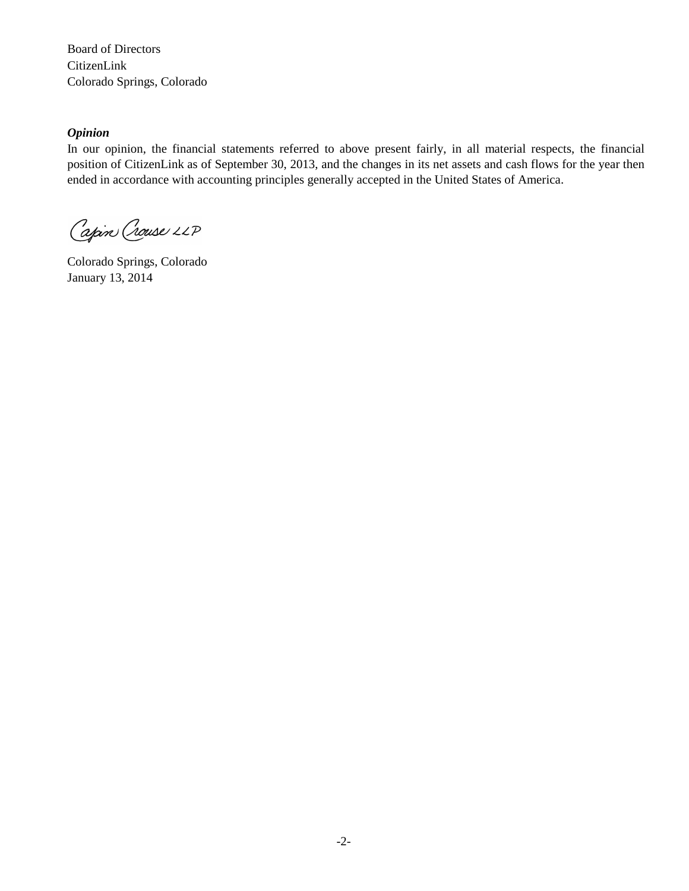Board of Directors CitizenLink Colorado Springs, Colorado  $\mathbf{D}_{\text{scatt}}$  of  $\mathbf{D}_{\text{incatart}}$ financial reporting. Accordingly, we express no such opinion. An audit also includes examining, on a test basis, on a test basis, on a test basis, on a test basis, on a test basis, on a test basis, on a test basis, on a te  $\epsilon$  supporting the amounts and disclosures in the financial statements, assessing principles principles principles principles principles  $\epsilon$  $\alpha$ used and significant estimates made by management, as well as  $\alpha$ 

### *Opinion*

In our opinion, the financial statements referred to above present fairly, in all material respects, the financial position of CitizenLink as of September 30, 2013, and the changes in its net assets and cash flows for the year then Example of Directors<br>CitizenLink<br>**Colorado Springs, Colorado**<br>In our opinion<br>In our opinion, the financial statements referred to above present fairly, in all material respec<br>position of CitizenLink as of September 30, 201 flows for the years the years the years theory and the conformity with a second in the United States of America

Capin Crouse LLP

Colorado Springs, Colorado January  $13, 2014$ December 13, 2012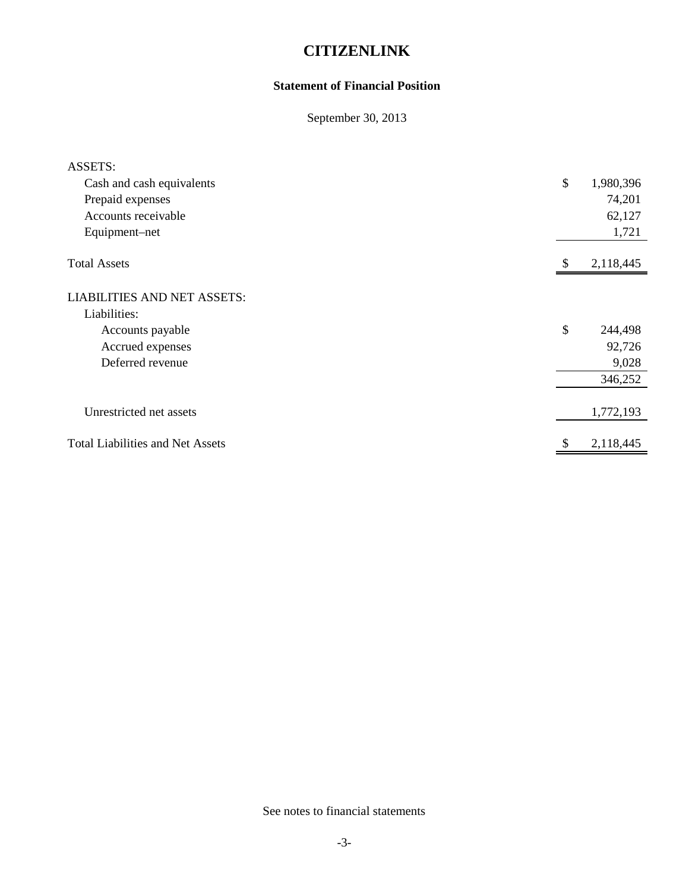## **Statement of Financial Position**

### September 30, 2013

| <b>ASSETS:</b>                          |                 |
|-----------------------------------------|-----------------|
| Cash and cash equivalents               | \$<br>1,980,396 |
| Prepaid expenses                        | 74,201          |
| Accounts receivable                     | 62,127          |
| Equipment-net                           | 1,721           |
| <b>Total Assets</b>                     | \$<br>2,118,445 |
|                                         |                 |
| <b>LIABILITIES AND NET ASSETS:</b>      |                 |
| Liabilities:                            |                 |
| Accounts payable                        | \$<br>244,498   |
| Accrued expenses                        | 92,726          |
| Deferred revenue                        | 9,028           |
|                                         | 346,252         |
| Unrestricted net assets                 | 1,772,193       |
| <b>Total Liabilities and Net Assets</b> | 2,118,445       |

See notes to financial statements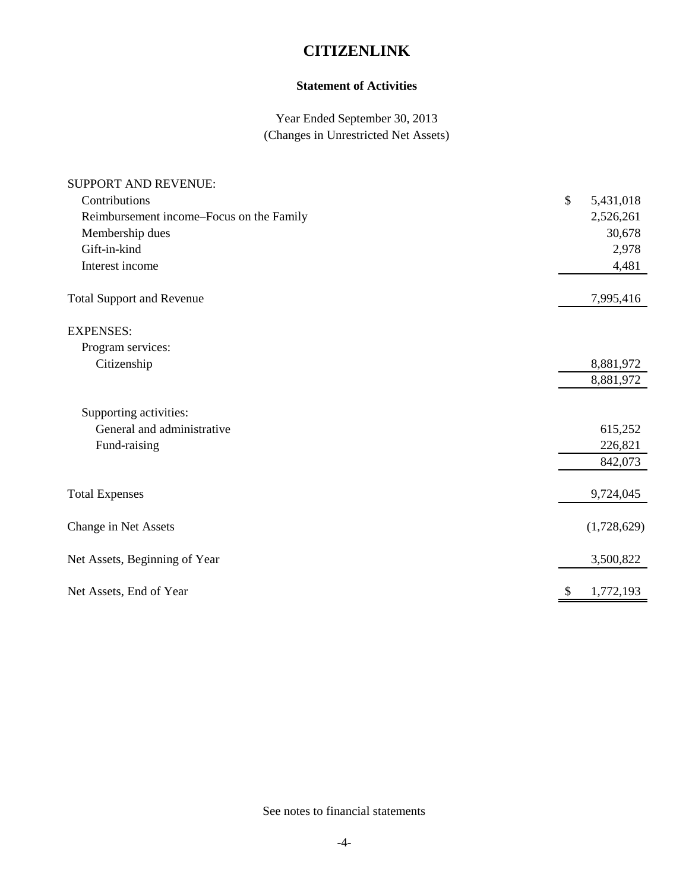### **Statement of Activities**

### Year Ended September 30, 2013 (Changes in Unrestricted Net Assets)

| <b>SUPPORT AND REVENUE:</b>              |                 |
|------------------------------------------|-----------------|
| Contributions                            | \$<br>5,431,018 |
| Reimbursement income–Focus on the Family | 2,526,261       |
| Membership dues                          | 30,678          |
| Gift-in-kind                             | 2,978           |
| Interest income                          | 4,481           |
| <b>Total Support and Revenue</b>         | 7,995,416       |
| <b>EXPENSES:</b>                         |                 |
| Program services:                        |                 |
| Citizenship                              | 8,881,972       |
|                                          | 8,881,972       |
|                                          |                 |
| Supporting activities:                   |                 |
| General and administrative               | 615,252         |
| Fund-raising                             | 226,821         |
|                                          | 842,073         |
| <b>Total Expenses</b>                    | 9,724,045       |
| Change in Net Assets                     | (1,728,629)     |
| Net Assets, Beginning of Year            | 3,500,822       |
| Net Assets, End of Year                  | 1,772,193       |

See notes to financial statements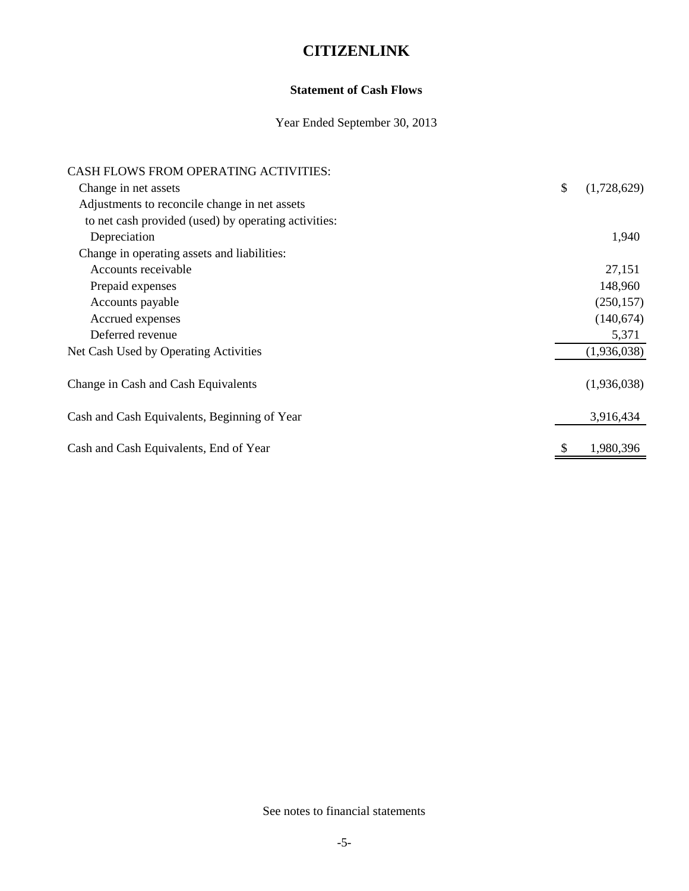### **Statement of Cash Flows**

Year Ended September 30, 2013

| CASH FLOWS FROM OPERATING ACTIVITIES:                |                   |
|------------------------------------------------------|-------------------|
| Change in net assets                                 | \$<br>(1,728,629) |
| Adjustments to reconcile change in net assets        |                   |
| to net cash provided (used) by operating activities: |                   |
| Depreciation                                         | 1,940             |
| Change in operating assets and liabilities:          |                   |
| Accounts receivable                                  | 27,151            |
| Prepaid expenses                                     | 148,960           |
| Accounts payable                                     | (250, 157)        |
| Accrued expenses                                     | (140, 674)        |
| Deferred revenue                                     | 5,371             |
| Net Cash Used by Operating Activities                | (1,936,038)       |
| Change in Cash and Cash Equivalents                  | (1,936,038)       |
| Cash and Cash Equivalents, Beginning of Year         | 3,916,434         |
| Cash and Cash Equivalents, End of Year               | 1,980,396         |

See notes to financial statements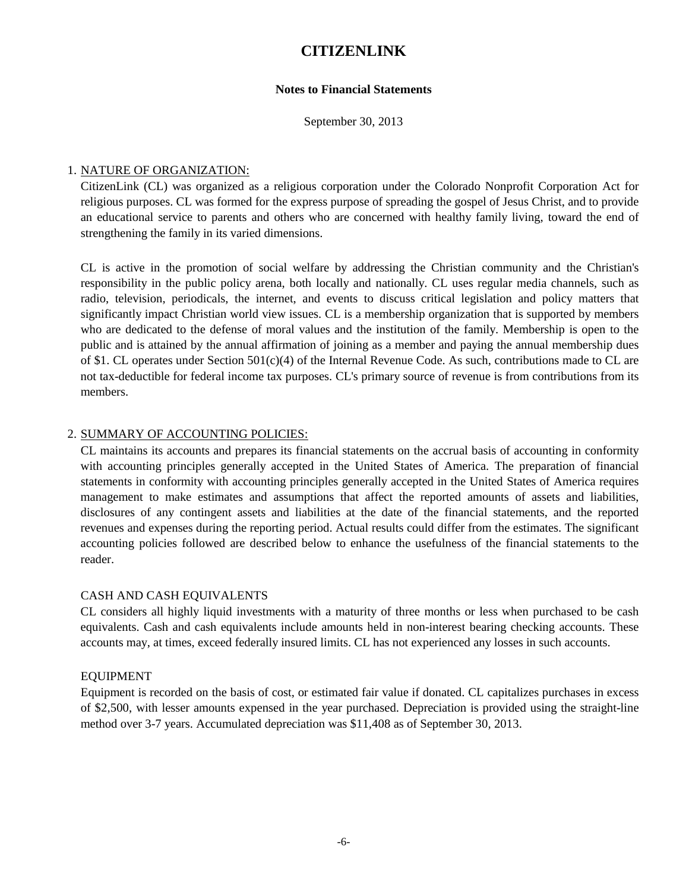#### **Notes to Financial Statements**

September 30, 2013

#### 1. NATURE OF ORGANIZATION:

CitizenLink (CL) was organized as a religious corporation under the Colorado Nonprofit Corporation Act for religious purposes. CL was formed for the express purpose of spreading the gospel of Jesus Christ, and to provide an educational service to parents and others who are concerned with healthy family living, toward the end of strengthening the family in its varied dimensions.

CL is active in the promotion of social welfare by addressing the Christian community and the Christian's responsibility in the public policy arena, both locally and nationally. CL uses regular media channels, such as radio, television, periodicals, the internet, and events to discuss critical legislation and policy matters that significantly impact Christian world view issues. CL is a membership organization that is supported by members who are dedicated to the defense of moral values and the institution of the family. Membership is open to the public and is attained by the annual affirmation of joining as a member and paying the annual membership dues of \$1. CL operates under Section  $501(c)(4)$  of the Internal Revenue Code. As such, contributions made to CL are not tax-deductible for federal income tax purposes. CL's primary source of revenue is from contributions from its members.

#### 2. SUMMARY OF ACCOUNTING POLICIES:

CL maintains its accounts and prepares its financial statements on the accrual basis of accounting in conformity with accounting principles generally accepted in the United States of America. The preparation of financial statements in conformity with accounting principles generally accepted in the United States of America requires management to make estimates and assumptions that affect the reported amounts of assets and liabilities, disclosures of any contingent assets and liabilities at the date of the financial statements, and the reported revenues and expenses during the reporting period. Actual results could differ from the estimates. The significant accounting policies followed are described below to enhance the usefulness of the financial statements to the reader.

#### CASH AND CASH EQUIVALENTS

CL considers all highly liquid investments with a maturity of three months or less when purchased to be cash equivalents. Cash and cash equivalents include amounts held in non-interest bearing checking accounts. These accounts may, at times, exceed federally insured limits. CL has not experienced any losses in such accounts.

#### EQUIPMENT

Equipment is recorded on the basis of cost, or estimated fair value if donated. CL capitalizes purchases in excess of \$2,500, with lesser amounts expensed in the year purchased. Depreciation is provided using the straight-line method over 3-7 years. Accumulated depreciation was \$11,408 as of September 30, 2013.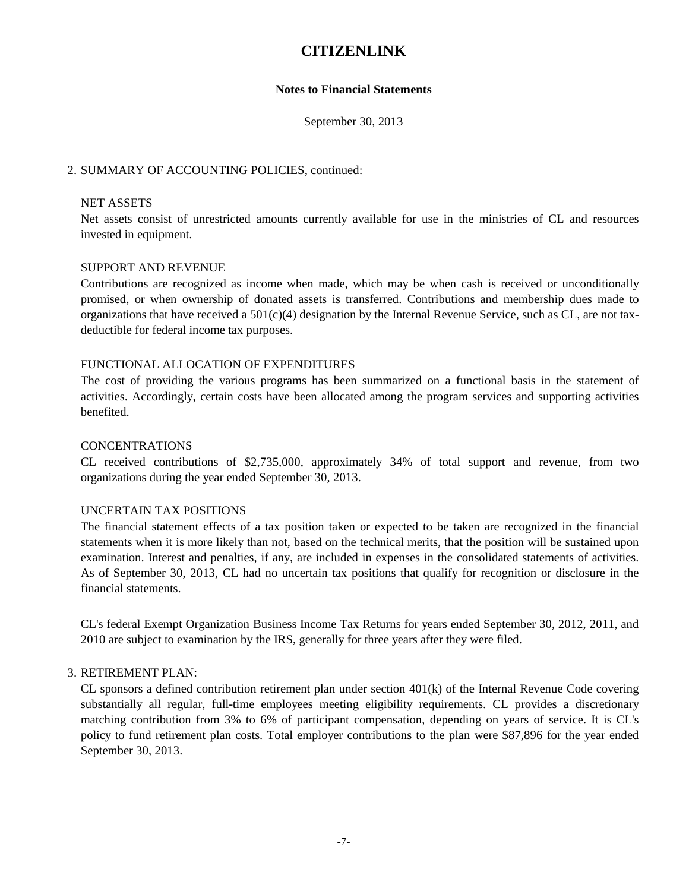#### **Notes to Financial Statements**

September 30, 2013

#### 2. SUMMARY OF ACCOUNTING POLICIES, continued:

#### NET ASSETS

Net assets consist of unrestricted amounts currently available for use in the ministries of CL and resources invested in equipment.

#### SUPPORT AND REVENUE

Contributions are recognized as income when made, which may be when cash is received or unconditionally promised, or when ownership of donated assets is transferred. Contributions and membership dues made to organizations that have received a  $501(c)(4)$  designation by the Internal Revenue Service, such as CL, are not taxdeductible for federal income tax purposes.

### FUNCTIONAL ALLOCATION OF EXPENDITURES

The cost of providing the various programs has been summarized on a functional basis in the statement of activities. Accordingly, certain costs have been allocated among the program services and supporting activities benefited.

#### CONCENTRATIONS

CL received contributions of \$2,735,000, approximately 34% of total support and revenue, from two organizations during the year ended September 30, 2013.

#### UNCERTAIN TAX POSITIONS

The financial statement effects of a tax position taken or expected to be taken are recognized in the financial statements when it is more likely than not, based on the technical merits, that the position will be sustained upon examination. Interest and penalties, if any, are included in expenses in the consolidated statements of activities. As of September 30, 2013, CL had no uncertain tax positions that qualify for recognition or disclosure in the financial statements.

CL's federal Exempt Organization Business Income Tax Returns for years ended September 30, 2012, 2011, and 2010 are subject to examination by the IRS, generally for three years after they were filed.

#### 3. RETIREMENT PLAN:

CL sponsors a defined contribution retirement plan under section 401(k) of the Internal Revenue Code covering substantially all regular, full-time employees meeting eligibility requirements. CL provides a discretionary matching contribution from 3% to 6% of participant compensation, depending on years of service. It is CL's policy to fund retirement plan costs. Total employer contributions to the plan were \$87,896 for the year ended September 30, 2013.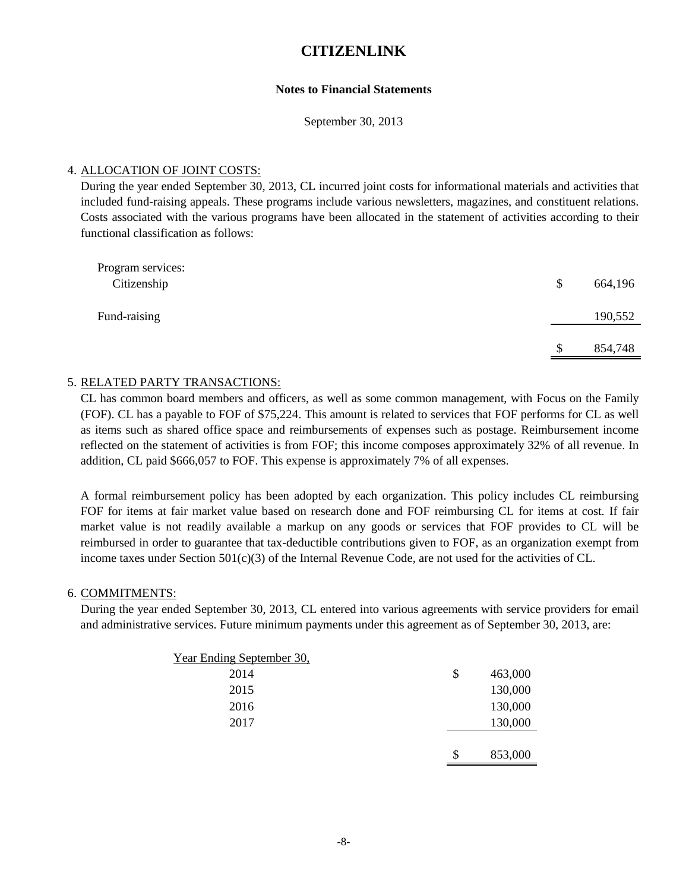#### **Notes to Financial Statements**

September 30, 2013

#### 4. ALLOCATION OF JOINT COSTS:

During the year ended September 30, 2013, CL incurred joint costs for informational materials and activities that included fund-raising appeals. These programs include various newsletters, magazines, and constituent relations. Costs associated with the various programs have been allocated in the statement of activities according to their functional classification as follows:

| Program services: |               |
|-------------------|---------------|
| Citizenship       | \$<br>664,196 |
|                   |               |
| Fund-raising      | 190,552       |
|                   |               |
|                   | \$<br>854,748 |

#### 5. RELATED PARTY TRANSACTIONS:

CL has common board members and officers, as well as some common management, with Focus on the Family (FOF). CL has a payable to FOF of \$75,224. This amount is related to services that FOF performs for CL as well as items such as shared office space and reimbursements of expenses such as postage. Reimbursement income reflected on the statement of activities is from FOF; this income composes approximately 32% of all revenue. In addition, CL paid \$666,057 to FOF. This expense is approximately 7% of all expenses.

A formal reimbursement policy has been adopted by each organization. This policy includes CL reimbursing FOF for items at fair market value based on research done and FOF reimbursing CL for items at cost. If fair market value is not readily available a markup on any goods or services that FOF provides to CL will be reimbursed in order to guarantee that tax-deductible contributions given to FOF, as an organization exempt from income taxes under Section  $501(c)(3)$  of the Internal Revenue Code, are not used for the activities of CL.

#### 6. COMMITMENTS:

During the year ended September 30, 2013, CL entered into various agreements with service providers for email and administrative services. Future minimum payments under this agreement as of September 30, 2013, are:

| Year Ending September 30, |               |
|---------------------------|---------------|
| 2014                      | \$<br>463,000 |
| 2015                      | 130,000       |
| 2016                      | 130,000       |
| 2017                      | 130,000       |
|                           |               |
|                           | \$<br>853,000 |